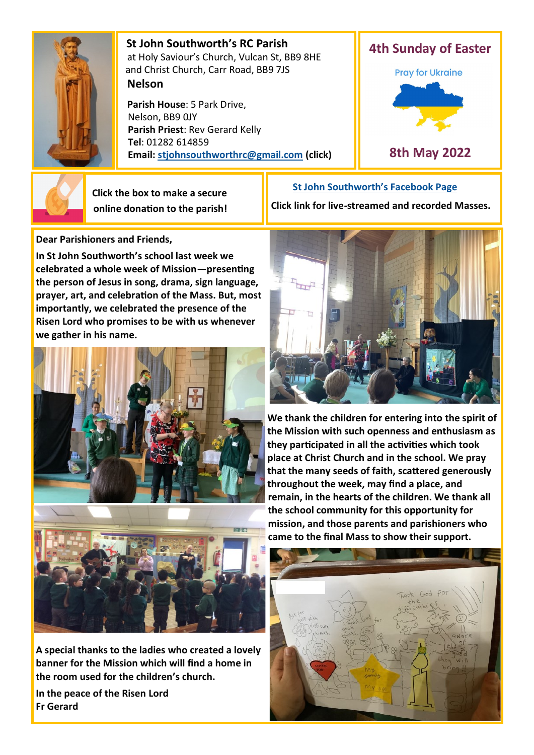

 **St John Southworth's RC Parish** at Holy Saviour's Church, Vulcan St, BB9 8HE and Christ Church, Carr Road, BB9 7JS **Nelson**

 **Parish House**: 5 Park Drive, Nelson, BB9 0JY **Parish Priest**: Rev Gerard Kelly **Tel**: 01282 614859 **Email: [stjohnsouthworthrc@gmail.com](mailto:stjohnsouthworth@gmail.com) (click)**



 **Click the box to make a secure online donation to the parish!** **[St John Southworth](https://www.facebook.com/Parish-of-St-John-Southworth-in-Nelson-105718084323986)'s Facebook Page**

**Dear Parishioners and Friends,**

**In St John Southworth's school last week we celebrated a whole week of Mission—presenting the person of Jesus in song, drama, sign language, prayer, art, and celebration of the Mass. But, most importantly, we celebrated the presence of the Risen Lord who promises to be with us whenever we gather in his name.**



**A special thanks to the ladies who created a lovely banner for the Mission which will find a home in the room used for the children's church.** 

**In the peace of the Risen Lord Fr Gerard**



**We thank the children for entering into the spirit of the Mission with such openness and enthusiasm as they participated in all the activities which took place at Christ Church and in the school. We pray that the many seeds of faith, scattered generously throughout the week, may find a place, and remain, in the hearts of the children. We thank all the school community for this opportunity for mission, and those parents and parishioners who came to the final Mass to show their support.**



**Click link for live-streamed and recorded Masses.**